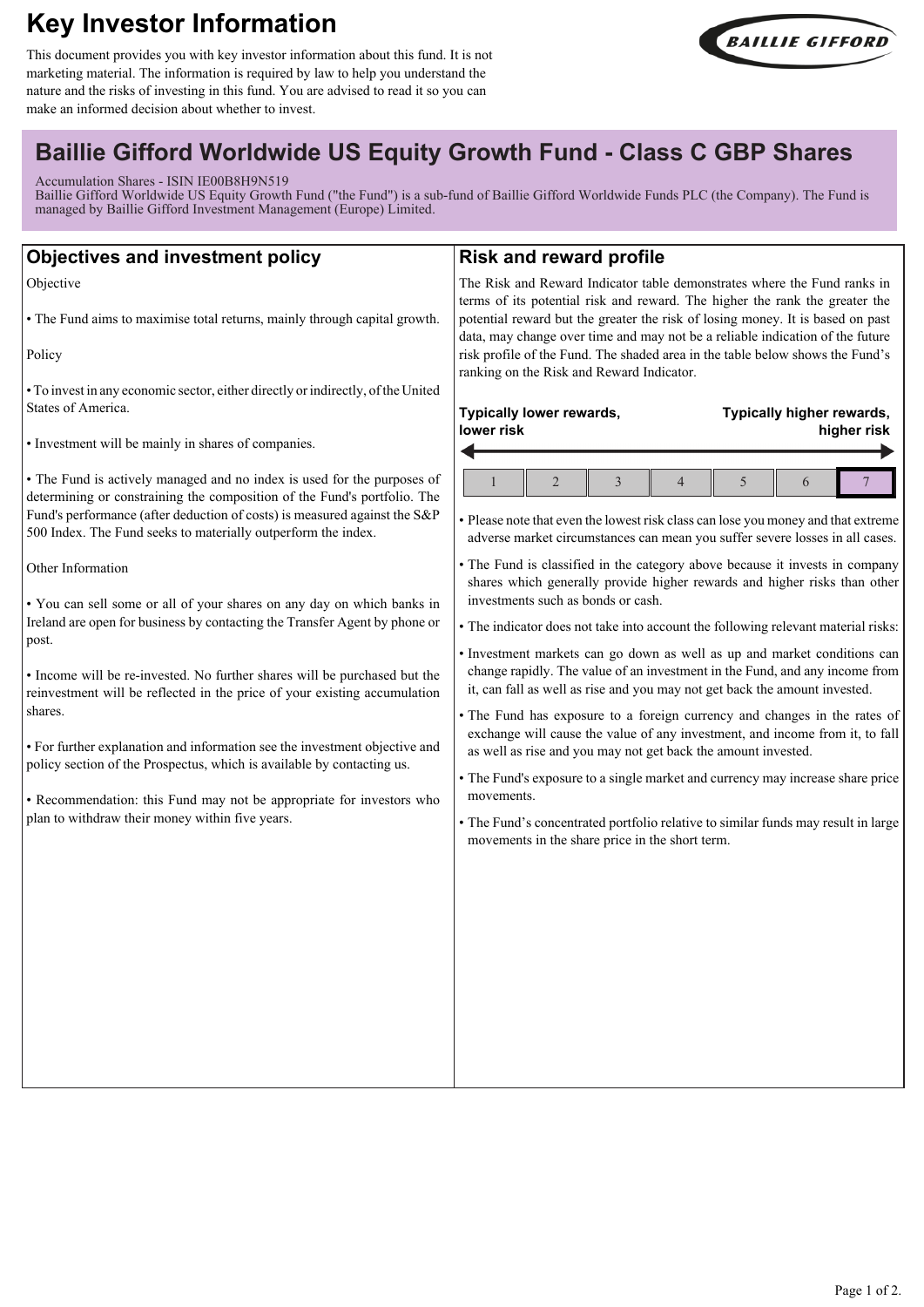# **Key Investor Information**

This document provides you with key investor information about this fund. It is not marketing material. The information is required by law to help you understand the nature and the risks of investing in this fund. You are advised to read it so you can make an informed decision about whether to invest.



# **Baillie Gifford Worldwide US Equity Growth Fund - Class C GBP Shares**

Accumulation Shares - ISIN IE00B8H9N519

Baillie Gifford Worldwide US Equity Growth Fund ("the Fund") is a sub-fund of Baillie Gifford Worldwide Funds PLC (the Company). The Fund is managed by Baillie Gifford Investment Management (Europe) Limited.

| <b>Objectives and investment policy</b>                                                                                                                                                                                                                                                                                                                                                                                                                                                                                                                                                                                                                                                                                                                                                                                                                                                                                                         | <b>Risk and reward profile</b>                                                                                                                                                                                                                                                                                                                                                                                                                                                                                                                                                                                                                                                                                                                                                                                                                                                                                                                                                                                                                                                                                                                                                                                 |
|-------------------------------------------------------------------------------------------------------------------------------------------------------------------------------------------------------------------------------------------------------------------------------------------------------------------------------------------------------------------------------------------------------------------------------------------------------------------------------------------------------------------------------------------------------------------------------------------------------------------------------------------------------------------------------------------------------------------------------------------------------------------------------------------------------------------------------------------------------------------------------------------------------------------------------------------------|----------------------------------------------------------------------------------------------------------------------------------------------------------------------------------------------------------------------------------------------------------------------------------------------------------------------------------------------------------------------------------------------------------------------------------------------------------------------------------------------------------------------------------------------------------------------------------------------------------------------------------------------------------------------------------------------------------------------------------------------------------------------------------------------------------------------------------------------------------------------------------------------------------------------------------------------------------------------------------------------------------------------------------------------------------------------------------------------------------------------------------------------------------------------------------------------------------------|
| Objective<br>• The Fund aims to maximise total returns, mainly through capital growth.<br>Policy                                                                                                                                                                                                                                                                                                                                                                                                                                                                                                                                                                                                                                                                                                                                                                                                                                                | The Risk and Reward Indicator table demonstrates where the Fund ranks in<br>terms of its potential risk and reward. The higher the rank the greater the<br>potential reward but the greater the risk of losing money. It is based on past<br>data, may change over time and may not be a reliable indication of the future<br>risk profile of the Fund. The shaded area in the table below shows the Fund's<br>ranking on the Risk and Reward Indicator.                                                                                                                                                                                                                                                                                                                                                                                                                                                                                                                                                                                                                                                                                                                                                       |
| • To invest in any economic sector, either directly or indirectly, of the United<br>States of America.<br>· Investment will be mainly in shares of companies.                                                                                                                                                                                                                                                                                                                                                                                                                                                                                                                                                                                                                                                                                                                                                                                   | Typically lower rewards,<br>Typically higher rewards,<br>lower risk<br>higher risk                                                                                                                                                                                                                                                                                                                                                                                                                                                                                                                                                                                                                                                                                                                                                                                                                                                                                                                                                                                                                                                                                                                             |
| • The Fund is actively managed and no index is used for the purposes of<br>determining or constraining the composition of the Fund's portfolio. The<br>Fund's performance (after deduction of costs) is measured against the S&P<br>500 Index. The Fund seeks to materially outperform the index.<br>Other Information<br>. You can sell some or all of your shares on any day on which banks in<br>Ireland are open for business by contacting the Transfer Agent by phone or<br>post.<br>• Income will be re-invested. No further shares will be purchased but the<br>reinvestment will be reflected in the price of your existing accumulation<br>shares.<br>• For further explanation and information see the investment objective and<br>policy section of the Prospectus, which is available by contacting us.<br>• Recommendation: this Fund may not be appropriate for investors who<br>plan to withdraw their money within five years. | 5<br>$\overline{2}$<br>3<br>4<br>6<br>· Please note that even the lowest risk class can lose you money and that extreme<br>adverse market circumstances can mean you suffer severe losses in all cases.<br>• The Fund is classified in the category above because it invests in company<br>shares which generally provide higher rewards and higher risks than other<br>investments such as bonds or cash.<br>• The indicator does not take into account the following relevant material risks:<br>· Investment markets can go down as well as up and market conditions can<br>change rapidly. The value of an investment in the Fund, and any income from<br>it, can fall as well as rise and you may not get back the amount invested.<br>• The Fund has exposure to a foreign currency and changes in the rates of<br>exchange will cause the value of any investment, and income from it, to fall<br>as well as rise and you may not get back the amount invested.<br>• The Fund's exposure to a single market and currency may increase share price<br>movements.<br>• The Fund's concentrated portfolio relative to similar funds may result in large<br>movements in the share price in the short term. |